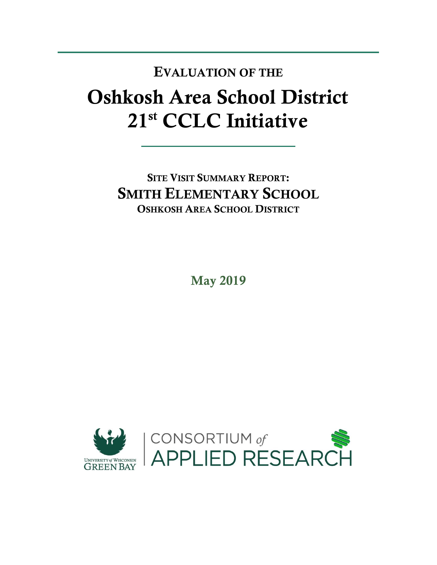## Oshkosh Area School District 21st CCLC Initiative EVALUATION OF THE

SITE VISIT SUMMARY REPORT: SMITH ELEMENTARY SCHOOL OSHKOSH AREA SCHOOL DISTRICT

May 2019

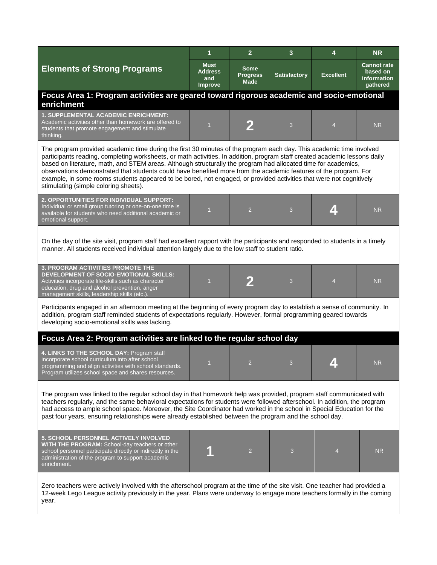|                                                                                                                                                                                                                                                                                                                                                                                                                                                                                                                                                                                                                                                         | $\overline{1}$                           | $\overline{2}$                         | 3                   | 4                | <b>NR</b>                                                        |  |  |  |
|---------------------------------------------------------------------------------------------------------------------------------------------------------------------------------------------------------------------------------------------------------------------------------------------------------------------------------------------------------------------------------------------------------------------------------------------------------------------------------------------------------------------------------------------------------------------------------------------------------------------------------------------------------|------------------------------------------|----------------------------------------|---------------------|------------------|------------------------------------------------------------------|--|--|--|
| <b>Elements of Strong Programs</b>                                                                                                                                                                                                                                                                                                                                                                                                                                                                                                                                                                                                                      | Must<br><b>Address</b><br>and<br>Improve | Some<br><b>Progress</b><br><b>Made</b> | <b>Satisfactory</b> | <b>Excellent</b> | <b>Cannot rate</b><br>based on<br><b>information</b><br>gathered |  |  |  |
| Focus Area 1: Program activities are geared toward rigorous academic and socio-emotional<br>enrichment                                                                                                                                                                                                                                                                                                                                                                                                                                                                                                                                                  |                                          |                                        |                     |                  |                                                                  |  |  |  |
| 1. SUPPLEMENTAL ACADEMIC ENRICHMENT:<br>Academic activities other than homework are offered to<br>students that promote engagement and stimulate<br>thinking.                                                                                                                                                                                                                                                                                                                                                                                                                                                                                           | $\overline{1}$                           |                                        | 3                   | $\overline{4}$   | <b>NR</b>                                                        |  |  |  |
| The program provided academic time during the first 30 minutes of the program each day. This academic time involved<br>participants reading, completing worksheets, or math activities. In addition, program staff created academic lessons daily<br>based on literature, math, and STEM areas. Although structurally the program had allocated time for academics,<br>observations demonstrated that students could have benefited more from the academic features of the program. For<br>example, in some rooms students appeared to be bored, not engaged, or provided activities that were not cognitively<br>stimulating (simple coloring sheets). |                                          |                                        |                     |                  |                                                                  |  |  |  |
| 2. OPPORTUNITIES FOR INDIVIDUAL SUPPORT:<br>Individual or small group tutoring or one-on-one time is<br>available for students who need additional academic or<br>emotional support.                                                                                                                                                                                                                                                                                                                                                                                                                                                                    | 1                                        | $\overline{2}$                         | 3                   | $\mathbf{Z}$     | <b>NR</b>                                                        |  |  |  |
| On the day of the site visit, program staff had excellent rapport with the participants and responded to students in a timely<br>manner. All students received individual attention largely due to the low staff to student ratio.                                                                                                                                                                                                                                                                                                                                                                                                                      |                                          |                                        |                     |                  |                                                                  |  |  |  |
| <b>3. PROGRAM ACTIVITIES PROMOTE THE</b><br>DEVELOPMENT OF SOCIO-EMOTIONAL SKILLS:<br>Activities incorporate life-skills such as character<br>education, drug and alcohol prevention, anger<br>management skills, leadership skills (etc.).                                                                                                                                                                                                                                                                                                                                                                                                             | $\overline{1}$                           | 2                                      | 3                   | $\overline{4}$   | <b>NR</b>                                                        |  |  |  |
| Participants engaged in an afternoon meeting at the beginning of every program day to establish a sense of community. In<br>addition, program staff reminded students of expectations regularly. However, formal programming geared towards<br>developing socio-emotional skills was lacking.                                                                                                                                                                                                                                                                                                                                                           |                                          |                                        |                     |                  |                                                                  |  |  |  |
| Focus Area 2: Program activities are linked to the regular school day                                                                                                                                                                                                                                                                                                                                                                                                                                                                                                                                                                                   |                                          |                                        |                     |                  |                                                                  |  |  |  |
| 4. LINKS TO THE SCHOOL DAY: Program staff<br>incorporate school curriculum into after school<br>programming and align activities with school standards.<br>Program utilizes school space and shares resources.                                                                                                                                                                                                                                                                                                                                                                                                                                          | $\overline{1}$                           | 2                                      | 3                   |                  | <b>NR</b>                                                        |  |  |  |
| The program was linked to the regular school day in that homework help was provided, program staff communicated with<br>teachers regularly, and the same behavioral expectations for students were followed afterschool. In addition, the program<br>had access to ample school space. Moreover, the Site Coordinator had worked in the school in Special Education for the<br>past four years, ensuring relationships were already established between the program and the school day.                                                                                                                                                                 |                                          |                                        |                     |                  |                                                                  |  |  |  |
| <b>5. SCHOOL PERSONNEL ACTIVELY INVOLVED</b><br>WITH THE PROGRAM: School-day teachers or other<br>school personnel participate directly or indirectly in the<br>administration of the program to support academic<br>enrichment.                                                                                                                                                                                                                                                                                                                                                                                                                        |                                          | $\overline{2}$                         | 3                   | 4                | <b>NR</b>                                                        |  |  |  |
| Zero teachers were actively involved with the afterschool program at the time of the site visit. One teacher had provided a<br>12-week Lego League activity previously in the year. Plans were underway to engage more teachers formally in the coming<br>year.                                                                                                                                                                                                                                                                                                                                                                                         |                                          |                                        |                     |                  |                                                                  |  |  |  |